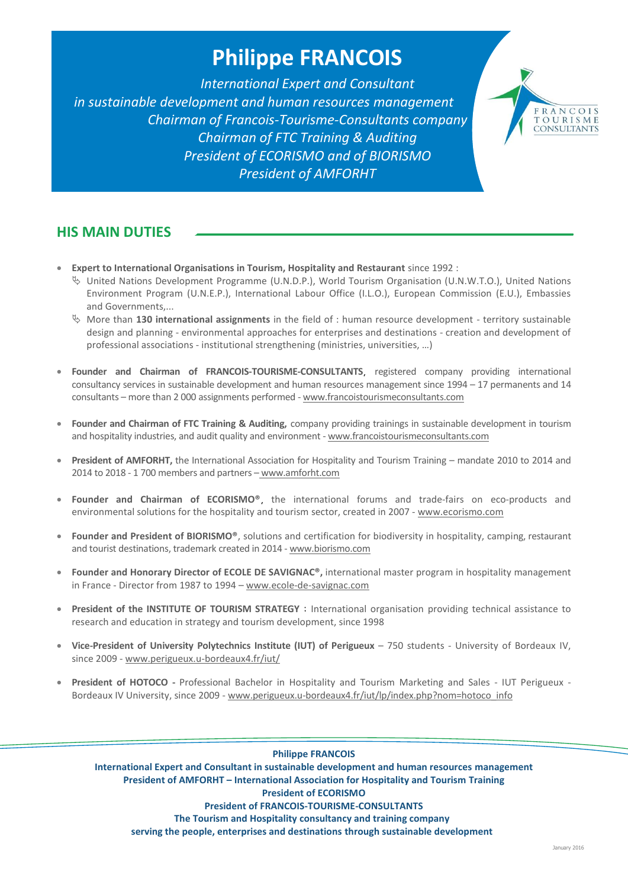# **Philippe FRANCOIS**

*International Expert and Consultant in sustainable development and human resources management Chairman of Francois-Tourisme-Consultants company Chairman of FTC Training & Auditing President of ECORISMO and of BIORISMO President of AMFORHT*



## **HIS MAIN DUTIES**

- **Expert to International Organisations in Tourism, Hospitality and Restaurant** since 1992 :
	- $\%$  United Nations Development Programme (U.N.D.P.), World Tourism Organisation (U.N.W.T.O.), United Nations Environment Program (U.N.E.P.), International Labour Office (I.L.O.), European Commission (E.U.), Embassies and Governments,...
	- More than **130 international assignments** in the field of : human resource development territory sustainable design and planning - environmental approaches for enterprises and destinations - creation and development of professional associations - institutional strengthening (ministries, universities, …)
- Founder and Chairman of FRANCOIS-TOURISME-CONSULTANTS, registered company providing international consultancy services in sustainable development and human resources management since 1994 – 17 permanents and 14 consultants – more than 2 000 assignments performed - [www.francoistourismeconsultants.com](http://www.francoistourismeconsultants.com/)
- **Founder and Chairman of FTC Training & Auditing,** company providing trainings in sustainable development in tourism and hospitality industries, and audit quality and environment - [www.francoistourismeconsultants.com](http://www.francoistourismeconsultants.com/)
- **President of AMFORHT,** the International Association for Hospitality and Tourism Training mandate 2010 to 2014 and 2014 to 2018 - 1 700 members and partners – [www.amforht.com](http://www.amforht.com/)
- **Founder and Chairman of ECORISMO®**, the international forums and trade-fairs on eco-products and environmental solutions for the hospitality and tourism sector, created in 2007 - [www.ecorismo.com](file:///C:/Users/Annabelle/AppData/Local/Microsoft/Windows/Temporary%20Internet%20Files/Low/Content.IE5/9CU287U1/www.ecorismo.com)
- **Founder and President of BIORISMO®**, solutions and certification for biodiversity in hospitality, camping, restaurant and tourist destinations, trademark created in 2014 - [www.biorismo.com](http://www.biorismo.com/)
- **Founder and Honorary Director of ECOLE DE SAVIGNAC®,** international master program in hospitality management in France - Director from 1987 to 1994 – www.ecole-de-savignac.com
- **President of the INSTITUTE OF TOURISM STRATEGY** : International organisation providing technical assistance to research and education in strategy and tourism development, since 1998
- **Vice-President of University Polytechnics Institute (IUT) of Perigueux** 750 students University of Bordeaux IV, since 2009 - www.perigueux.u-bordeaux4.fr/iut/
- **President of HOTOCO -** Professional Bachelor in Hospitality and Tourism Marketing and Sales IUT Perigueux Bordeaux IV University, since 2009 - www.perigueux.u-bordeaux4.fr/iut/lp/index.php?nom=hotoco\_info

#### **Philippe FRANCOIS**

**International Expert and Consultant in sustainable development and human resources management President of AMFORHT – International Association for Hospitality and Tourism Training President of ECORISMO President of FRANCOIS-TOURISME-CONSULTANTS The Tourism and Hospitality consultancy and training company**

**serving the people, enterprises and destinations through sustainable development**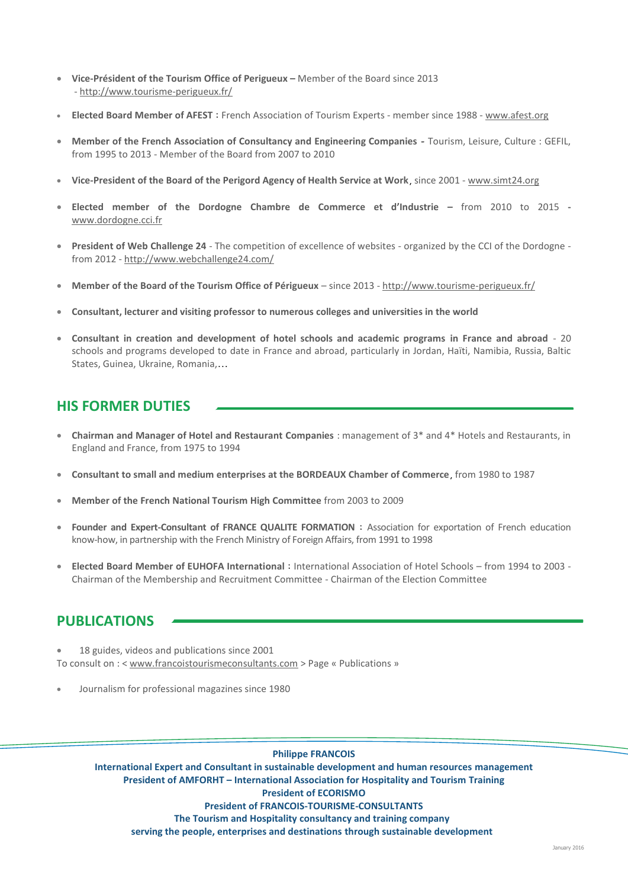- **Vice-Président of the Tourism Office of Perigueux –** Member of the Board since 2013 - <http://www.tourisme-perigueux.fr/>
- **Elected Board Member of AFEST** : French Association of Tourism Experts member since 1988 [www.afest.org](http://www.afest.org/)
- **Member of the French Association of Consultancy and Engineering Companies** Tourism, Leisure, Culture : GEFIL, from 1995 to 2013 - Member of the Board from 2007 to 2010
- **Vice-President of the Board of the Perigord Agency of Health Service at Work**, since 2001 [www.simt24.org](http://www.simt24.org/)
- **Elected member of the Dordogne Chambre de Commerce et d'Industrie –** from 2010 to 2015  [www.dordogne.cci.fr](http://www.dordogne.cci.fr/)
- **President of Web Challenge 24**  The competition of excellence of websites organized by the CCI of the Dordogne from 2012 - <http://www.webchallenge24.com/>
- **Member of the Board of the Tourism Office of Périgueux**  since 2013 <http://www.tourisme-perigueux.fr/>
- **Consultant, lecturer and visiting professor to numerous colleges and universities in the world**
- **Consultant in creation and development of hotel schools and academic programs in France and abroad** 20 schools and programs developed to date in France and abroad, particularly in Jordan, Haïti, Namibia, Russia, Baltic States, Guinea, Ukraine, Romania,…

# **HIS FORMER DUTIES**

- **Chairman and Manager of Hotel and Restaurant Companies** : management of 3\* and 4\* Hotels and Restaurants, in England and France, from 1975 to 1994
- **Consultant to small and medium enterprises at the BORDEAUX Chamber of Commerce**, from 1980 to 1987
- **Member of the French National Tourism High Committee** from 2003 to 2009
- **Founder and Expert-Consultant of FRANCE QUALITE FORMATION** : Association for exportation of French education know-how, in partnership with the French Ministry of Foreign Affairs, from 1991 to 1998
- **Elected Board Member of EUHOFA International** : International Association of Hotel Schools from 1994 to 2003 Chairman of the Membership and Recruitment Committee - Chairman of the Election Committee

## **PUBLICATIONS**

- 18 guides, videos and publications since 2001 To consult on : < [www.francoistourismeconsultants.com](http://www.francoistourismeconsultants.com/) > Page « Publications »
- Journalism for professional magazines since 1980

#### **Philippe FRANCOIS**

**International Expert and Consultant in sustainable development and human resources management President of AMFORHT – International Association for Hospitality and Tourism Training President of ECORISMO President of FRANCOIS-TOURISME-CONSULTANTS The Tourism and Hospitality consultancy and training company serving the people, enterprises and destinations through sustainable development**